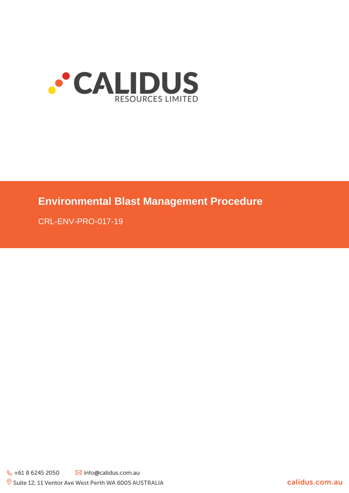

# **Environmental Blast Management Procedure**

CRL-ENV-PRO-017-19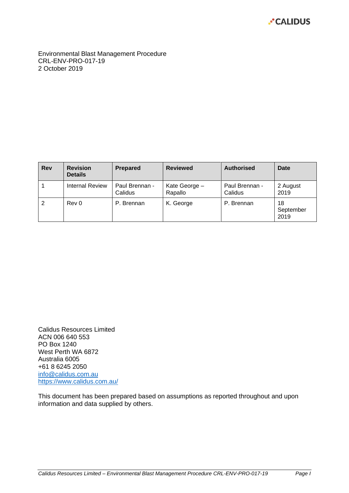

Environmental Blast Management Procedure CRL-ENV-PRO-017-19 2 October 2019

| <b>Revision</b><br><b>Rev</b><br><b>Details</b><br><b>Internal Review</b> |                     | <b>Prepared</b>           | <b>Reviewed</b>          | <b>Authorised</b>         | Date                    |  |
|---------------------------------------------------------------------------|---------------------|---------------------------|--------------------------|---------------------------|-------------------------|--|
|                                                                           |                     | Paul Brennan -<br>Calidus | Kate George -<br>Rapallo | Paul Brennan -<br>Calidus | 2 August<br>2019        |  |
| 2                                                                         | Rev 0<br>P. Brennan |                           | K. George                | P. Brennan                | 18<br>September<br>2019 |  |

Calidus Resources Limited ACN 006 640 553 PO Box 1240 West Perth WA 6872 Australia 6005 +61 8 6245 2050 [info@calidus.com.au](mailto:info@calidus.com.au) <https://www.calidus.com.au/>

This document has been prepared based on assumptions as reported throughout and upon information and data supplied by others.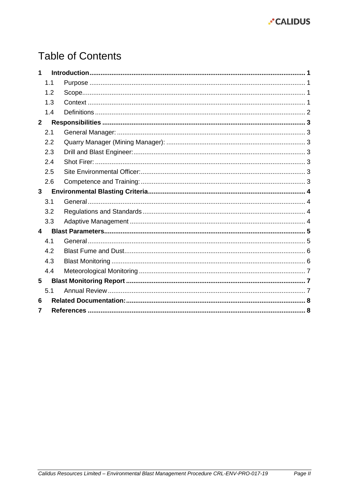

# **Table of Contents**

| 1                       |     |  |  |  |  |
|-------------------------|-----|--|--|--|--|
|                         | 1.1 |  |  |  |  |
|                         | 1.2 |  |  |  |  |
|                         | 1.3 |  |  |  |  |
|                         | 1.4 |  |  |  |  |
| $\overline{2}$          |     |  |  |  |  |
|                         | 2.1 |  |  |  |  |
|                         | 2.2 |  |  |  |  |
|                         | 2.3 |  |  |  |  |
|                         | 2.4 |  |  |  |  |
|                         | 2.5 |  |  |  |  |
|                         | 2.6 |  |  |  |  |
| $\overline{3}$          |     |  |  |  |  |
|                         | 3.1 |  |  |  |  |
|                         | 3.2 |  |  |  |  |
|                         | 3.3 |  |  |  |  |
| $\overline{\mathbf{4}}$ |     |  |  |  |  |
|                         | 4.1 |  |  |  |  |
|                         | 4.2 |  |  |  |  |
|                         | 4.3 |  |  |  |  |
|                         | 4.4 |  |  |  |  |
| 5                       |     |  |  |  |  |
|                         | 5.1 |  |  |  |  |
| 6                       |     |  |  |  |  |
| 7                       |     |  |  |  |  |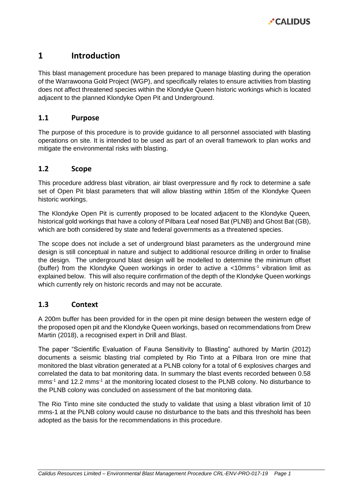# <span id="page-3-0"></span>**1 Introduction**

This blast management procedure has been prepared to manage blasting during the operation of the Warrawoona Gold Project (WGP), and specifically relates to ensure activities from blasting does not affect threatened species within the Klondyke Queen historic workings which is located adjacent to the planned Klondyke Open Pit and Underground.

## <span id="page-3-1"></span>**1.1 Purpose**

The purpose of this procedure is to provide guidance to all personnel associated with blasting operations on site. It is intended to be used as part of an overall framework to plan works and mitigate the environmental risks with blasting.

## <span id="page-3-2"></span>**1.2 Scope**

This procedure address blast vibration, air blast overpressure and fly rock to determine a safe set of Open Pit blast parameters that will allow blasting within 185m of the Klondyke Queen historic workings.

The Klondyke Open Pit is currently proposed to be located adjacent to the Klondyke Queen, historical gold workings that have a colony of Pilbara Leaf nosed Bat (PLNB) and Ghost Bat (GB), which are both considered by state and federal governments as a threatened species.

The scope does not include a set of underground blast parameters as the underground mine design is still conceptual in nature and subject to additional resource drilling in order to finalise the design. The underground blast design will be modelled to determine the minimum offset (buffer) from the Klondyke Queen workings in order to active a  $\lt$ 10mms<sup>-1</sup> vibration limit as explained below. This will also require confirmation of the depth of the Klondyke Queen workings which currently rely on historic records and may not be accurate.

### <span id="page-3-3"></span>**1.3 Context**

A 200m buffer has been provided for in the open pit mine design between the western edge of the proposed open pit and the Klondyke Queen workings, based on recommendations from Drew Martin (2018), a recognised expert in Drill and Blast.

The paper "Scientific Evaluation of Fauna Sensitivity to Blasting" authored by Martin (2012) documents a seismic blasting trial completed by Rio Tinto at a Pilbara Iron ore mine that monitored the blast vibration generated at a PLNB colony for a total of 6 explosives charges and correlated the data to bat monitoring data. In summary the blast events recorded between 0.58 mms<sup>-1</sup> and 12.2 mms<sup>-1</sup> at the monitoring located closest to the PLNB colony. No disturbance to the PLNB colony was concluded on assessment of the bat monitoring data.

The Rio Tinto mine site conducted the study to validate that using a blast vibration limit of 10 mms-1 at the PLNB colony would cause no disturbance to the bats and this threshold has been adopted as the basis for the recommendations in this procedure.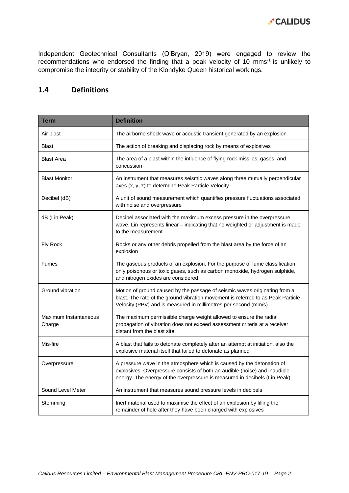

Independent Geotechnical Consultants (O'Bryan, 2019) were engaged to review the recommendations who endorsed the finding that a peak velocity of 10 mms-1 is unlikely to compromise the integrity or stability of the Klondyke Queen historical workings.

# <span id="page-4-0"></span>**1.4 Definitions**

| <b>Term</b>                     | <b>Definition</b>                                                                                                                                                                                                                 |  |  |
|---------------------------------|-----------------------------------------------------------------------------------------------------------------------------------------------------------------------------------------------------------------------------------|--|--|
| Air blast                       | The airborne shock wave or acoustic transient generated by an explosion                                                                                                                                                           |  |  |
| <b>Blast</b>                    | The action of breaking and displacing rock by means of explosives                                                                                                                                                                 |  |  |
| <b>Blast Area</b>               | The area of a blast within the influence of flying rock missiles, gases, and<br>concussion                                                                                                                                        |  |  |
| <b>Blast Monitor</b>            | An instrument that measures seismic waves along three mutually perpendicular<br>axes (x, y, z) to determine Peak Particle Velocity                                                                                                |  |  |
| Decibel (dB)                    | A unit of sound measurement which quantifies pressure fluctuations associated<br>with noise and overpressure                                                                                                                      |  |  |
| dB (Lin Peak)                   | Decibel associated with the maximum excess pressure in the overpressure<br>wave. Lin represents linear - indicating that no weighted or adjustment is made<br>to the measurement                                                  |  |  |
| Fly Rock                        | Rocks or any other debris propelled from the blast area by the force of an<br>explosion                                                                                                                                           |  |  |
| <b>Fumes</b>                    | The gaseous products of an explosion. For the purpose of fume classification,<br>only poisonous or toxic gases, such as carbon monoxide, hydrogen sulphide,<br>and nitrogen oxides are considered                                 |  |  |
| Ground vibration                | Motion of ground caused by the passage of seismic waves originating from a<br>blast. The rate of the ground vibration movement is referred to as Peak Particle<br>Velocity (PPV) and is measured in millimetres per second (mm/s) |  |  |
| Maximum Instantaneous<br>Charge | The maximum permissible charge weight allowed to ensure the radial<br>propagation of vibration does not exceed assessment criteria at a receiver<br>distant from the blast site                                                   |  |  |
| Mis-fire                        | A blast that fails to detonate completely after an attempt at initiation, also the<br>explosive material itself that failed to detonate as planned                                                                                |  |  |
| Overpressure                    | A pressure wave in the atmosphere which is caused by the detonation of<br>explosives. Overpressure consists of both an audible (noise) and inaudible<br>energy. The energy of the overpressure is measured in decibels (Lin Peak) |  |  |
| Sound Level Meter               | An instrument that measures sound pressure levels in decibels                                                                                                                                                                     |  |  |
| Stemming                        | Inert material used to maximise the effect of an explosion by filling the<br>remainder of hole after they have been charged with explosives                                                                                       |  |  |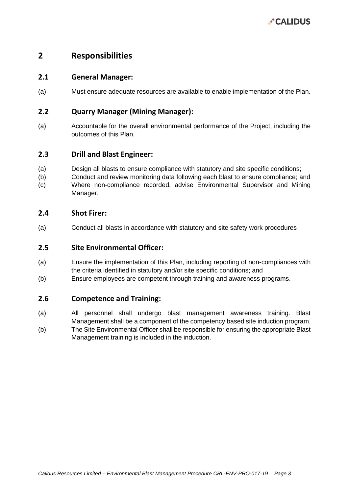

# <span id="page-5-0"></span>**2 Responsibilities**

#### <span id="page-5-1"></span>**2.1 General Manager:**

(a) Must ensure adequate resources are available to enable implementation of the Plan.

#### <span id="page-5-2"></span>**2.2 Quarry Manager (Mining Manager):**

(a) Accountable for the overall environmental performance of the Project, including the outcomes of this Plan.

#### <span id="page-5-3"></span>**2.3 Drill and Blast Engineer:**

- (a) Design all blasts to ensure compliance with statutory and site specific conditions;
- (b) Conduct and review monitoring data following each blast to ensure compliance; and (c) Where non-compliance recorded, advise Environmental Supervisor and Mining
- Manager.

#### <span id="page-5-4"></span>**2.4 Shot Firer:**

(a) Conduct all blasts in accordance with statutory and site safety work procedures

#### <span id="page-5-5"></span>**2.5 Site Environmental Officer:**

- (a) Ensure the implementation of this Plan, including reporting of non-compliances with the criteria identified in statutory and/or site specific conditions; and
- (b) Ensure employees are competent through training and awareness programs.

#### <span id="page-5-6"></span>**2.6 Competence and Training:**

- (a) All personnel shall undergo blast management awareness training. Blast Management shall be a component of the competency based site induction program.
- (b) The Site Environmental Officer shall be responsible for ensuring the appropriate Blast Management training is included in the induction.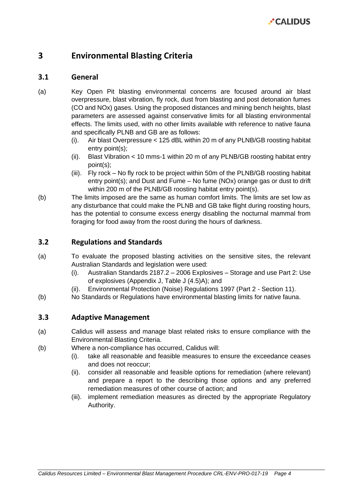

# <span id="page-6-0"></span>**3 Environmental Blasting Criteria**

#### <span id="page-6-1"></span>**3.1 General**

- (a) Key Open Pit blasting environmental concerns are focused around air blast overpressure, blast vibration, fly rock, dust from blasting and post detonation fumes (CO and NOx) gases. Using the proposed distances and mining bench heights, blast parameters are assessed against conservative limits for all blasting environmental effects. The limits used, with no other limits available with reference to native fauna and specifically PLNB and GB are as follows:
	- (i). Air blast Overpressure < 125 dBL within 20 m of any PLNB/GB roosting habitat entry point(s);
	- (ii). Blast Vibration < 10 mms-1 within 20 m of any PLNB/GB roosting habitat entry point(s);
	- (iii). Fly rock No fly rock to be project within 50m of the PLNB/GB roosting habitat entry point(s); and Dust and Fume – No fume (NOx) orange gas or dust to drift within 200 m of the PLNB/GB roosting habitat entry point(s).
- (b) The limits imposed are the same as human comfort limits. The limits are set low as any disturbance that could make the PLNB and GB take flight during roosting hours, has the potential to consume excess energy disabling the nocturnal mammal from foraging for food away from the roost during the hours of darkness.

#### <span id="page-6-2"></span>**3.2 Regulations and Standards**

- (a) To evaluate the proposed blasting activities on the sensitive sites, the relevant Australian Standards and legislation were used:
	- (i). Australian Standards 2187.2 2006 Explosives Storage and use Part 2: Use of explosives (Appendix J, Table J (4.5)A); and
	- (ii). Environmental Protection (Noise) Regulations 1997 (Part 2 Section 11).
- (b) No Standards or Regulations have environmental blasting limits for native fauna.

#### <span id="page-6-3"></span>**3.3 Adaptive Management**

- (a) Calidus will assess and manage blast related risks to ensure compliance with the Environmental Blasting Criteria.
- (b) Where a non-compliance has occurred, Calidus will:
	- (i). take all reasonable and feasible measures to ensure the exceedance ceases and does not reoccur;
	- (ii). consider all reasonable and feasible options for remediation (where relevant) and prepare a report to the describing those options and any preferred remediation measures of other course of action; and
	- (iii). implement remediation measures as directed by the appropriate Regulatory Authority.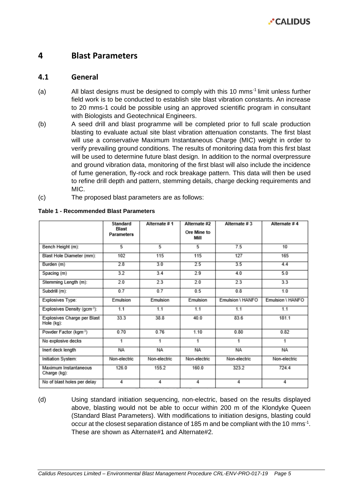# <span id="page-7-0"></span>**4 Blast Parameters**

#### <span id="page-7-1"></span>**4.1 General**

- (a) All blast designs must be designed to comply with this 10 mms-1 limit unless further field work is to be conducted to establish site blast vibration constants. An increase to 20 mms-1 could be possible using an approved scientific program in consultant with Biologists and Geotechnical Engineers.
- (b) A seed drill and blast programme will be completed prior to full scale production blasting to evaluate actual site blast vibration attenuation constants. The first blast will use a conservative Maximum Instantaneous Charge (MIC) weight in order to verify prevailing ground conditions. The results of monitoring data from this first blast will be used to determine future blast design. In addition to the normal overpressure and ground vibration data, monitoring of the first blast will also include the incidence of fume generation, fly-rock and rock breakage pattern. This data will then be used to refine drill depth and pattern, stemming details, charge decking requirements and MIC.
- (c) The proposed blast parameters are as follows:

|                                           | <b>Standard</b><br><b>Blast</b><br><b>Parameters</b> | Alternate #1 | Alternate #2<br>Ore Mine to<br>Mill | Alternate #3     | Alternate #4     |
|-------------------------------------------|------------------------------------------------------|--------------|-------------------------------------|------------------|------------------|
| Bench Height (m):                         | 5                                                    | 5            | 5                                   | 7.5              | 10               |
| Blast Hole Diameter (mm):                 | 102                                                  | 115          | 115                                 | 127              | 165              |
| Burden (m)                                | 2.8                                                  | 3.0          | 2.5                                 | 3.5              | 4.4              |
| Spacing (m)                               | 3.2                                                  | 3.4          | 2.9                                 | 4.0              | 5.0              |
| Stemming Length (m):                      | 2.0                                                  | 2.3          | 2.0                                 | 2.3              | 3.3              |
| Subdrill (m):                             | 0.7                                                  | 0.7          | 0.5                                 | 0.8              | 1.0              |
| Explosives Type:                          | Emulsion                                             | Emulsion     | Emulsion                            | Emulsion \ HANFO | Emulsion \ HANFO |
| Explosives Density (gcm-3):               | 1.1                                                  | 1.1          | 1.1                                 | 1.1              | 1.1              |
| Explosives Charge per Blast<br>Hole (kg): | 33.3                                                 | 38.8         | 40.0                                | 83.6             | 181.1            |
| Powder Factor (kgm <sup>-3</sup> )        | 0.70                                                 | 0.76         | 1.10                                | 0.80             | 0.82             |
| No explosive decks                        | 1                                                    | 1            | 1                                   | 1                | 1                |
| Inert deck length                         | <b>NA</b>                                            | <b>NA</b>    | <b>NA</b>                           | <b>NA</b>        | <b>NA</b>        |
| Initiation System:                        | Non-electric                                         | Non-electric | Non-electric                        | Non-electric     | Non-electric     |
| Maximum Instantaneous<br>Charge (kg):     | 126.0                                                | 155.2        | 160.0                               | 323.2            | 724.4            |
| No of blast holes per delay               | 4                                                    | 4            | 4                                   | 4                | 4                |

#### <span id="page-7-2"></span>**Table 1 - Recommended Blast Parameters**

(d) Using standard initiation sequencing, non-electric, based on the results displayed above, blasting would not be able to occur within 200 m of the Klondyke Queen (Standard Blast Parameters). With modifications to initiation designs, blasting could occur at the closest separation distance of 185 m and be compliant with the 10 mms<sup>-1</sup>. These are shown as Alternate#1 and Alternate#2.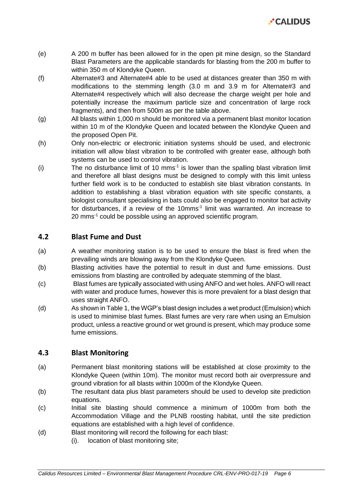

- (e) A 200 m buffer has been allowed for in the open pit mine design, so the Standard Blast Parameters are the applicable standards for blasting from the 200 m buffer to within 350 m of Klondyke Queen.
- (f) Alternate#3 and Alternate#4 able to be used at distances greater than 350 m with modifications to the stemming length (3.0 m and 3.9 m for Alternate#3 and Alternate#4 respectively which will also decrease the charge weight per hole and potentially increase the maximum particle size and concentration of large rock fragments), and then from 500m as per the table above.
- (g) All blasts within 1,000 m should be monitored via a permanent blast monitor location within 10 m of the Klondyke Queen and located between the Klondyke Queen and the proposed Open Pit.
- (h) Only non-electric or electronic initiation systems should be used, and electronic initiation will allow blast vibration to be controlled with greater ease, although both systems can be used to control vibration.
- (i) The no disturbance limit of 10 mms-1 is lower than the spalling blast vibration limit and therefore all blast designs must be designed to comply with this limit unless further field work is to be conducted to establish site blast vibration constants. In addition to establishing a blast vibration equation with site specific constants, a biologist consultant specialising in bats could also be engaged to monitor bat activity for disturbances, if a review of the 10mms<sup>-1</sup> limit was warranted. An increase to 20 mms-1 could be possible using an approved scientific program.

#### <span id="page-8-0"></span>**4.2 Blast Fume and Dust**

- (a) A weather monitoring station is to be used to ensure the blast is fired when the prevailing winds are blowing away from the Klondyke Queen.
- (b) Blasting activities have the potential to result in dust and fume emissions. Dust emissions from blasting are controlled by adequate stemming of the blast.
- (c) Blast fumes are typically associated with using ANFO and wet holes. ANFO will react with water and produce fumes, however this is more prevalent for a blast design that uses straight ANFO.
- (d) As shown in [Table 1,](#page-7-2) the WGP's blast design includes a wet product (Emulsion) which is used to minimise blast fumes. Blast fumes are very rare when using an Emulsion product, unless a reactive ground or wet ground is present, which may produce some fume emissions.

### <span id="page-8-1"></span>**4.3 Blast Monitoring**

- (a) Permanent blast monitoring stations will be established at close proximity to the Klondyke Queen (within 10m). The monitor must record both air overpressure and ground vibration for all blasts within 1000m of the Klondyke Queen.
- (b) The resultant data plus blast parameters should be used to develop site prediction equations.
- (c) Initial site blasting should commence a minimum of 1000m from both the Accommodation Village and the PLNB roosting habitat, until the site prediction equations are established with a high level of confidence.
- (d) Blast monitoring will record the following for each blast:
	- (i). location of blast monitoring site;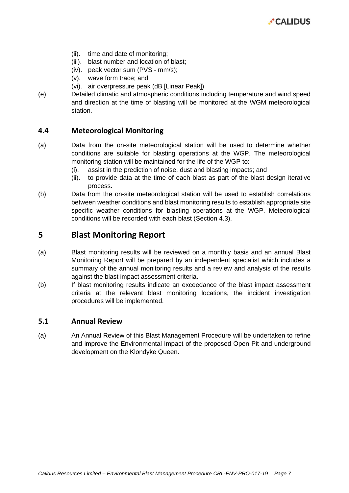

- (ii). time and date of monitoring;
- (iii). blast number and location of blast;
- (iv). peak vector sum (PVS mm/s);
- (v). wave form trace; and
- (vi). air overpressure peak (dB [Linear Peak])
- (e) Detailed climatic and atmospheric conditions including temperature and wind speed and direction at the time of blasting will be monitored at the WGM meteorological station.

#### <span id="page-9-0"></span>**4.4 Meteorological Monitoring**

- (a) Data from the on-site meteorological station will be used to determine whether conditions are suitable for blasting operations at the WGP. The meteorological monitoring station will be maintained for the life of the WGP to:
	- (i). assist in the prediction of noise, dust and blasting impacts; and
	- (ii). to provide data at the time of each blast as part of the blast design iterative process.
- (b) Data from the on-site meteorological station will be used to establish correlations between weather conditions and blast monitoring results to establish appropriate site specific weather conditions for blasting operations at the WGP. Meteorological conditions will be recorded with each blast (Section [4.3\)](#page-8-1).

## <span id="page-9-1"></span>**5 Blast Monitoring Report**

- (a) Blast monitoring results will be reviewed on a monthly basis and an annual Blast Monitoring Report will be prepared by an independent specialist which includes a summary of the annual monitoring results and a review and analysis of the results against the blast impact assessment criteria.
- (b) If blast monitoring results indicate an exceedance of the blast impact assessment criteria at the relevant blast monitoring locations, the incident investigation procedures will be implemented.

#### <span id="page-9-2"></span>**5.1 Annual Review**

(a) An Annual Review of this Blast Management Procedure will be undertaken to refine and improve the Environmental Impact of the proposed Open Pit and underground development on the Klondyke Queen.